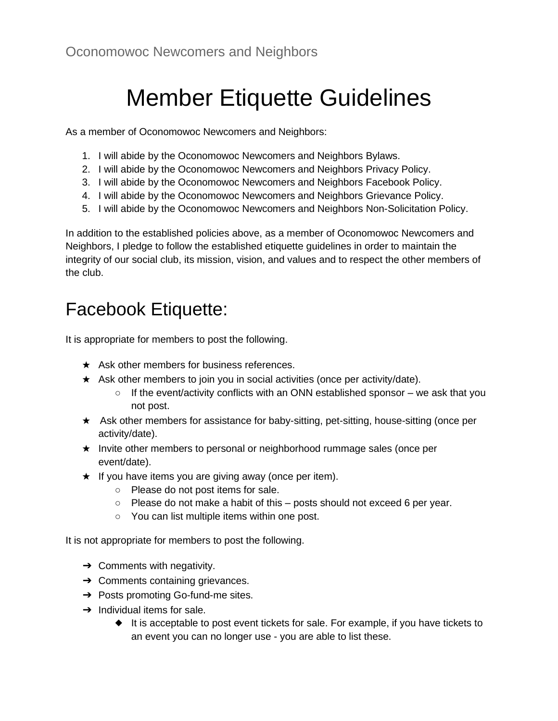# Member Etiquette Guidelines

As a member of Oconomowoc Newcomers and Neighbors:

- 1. I will abide by the Oconomowoc Newcomers and Neighbors Bylaws.
- 2. I will abide by the Oconomowoc Newcomers and Neighbors Privacy Policy.
- 3. I will abide by the Oconomowoc Newcomers and Neighbors Facebook Policy.
- 4. I will abide by the Oconomowoc Newcomers and Neighbors Grievance Policy.
- 5. I will abide by the Oconomowoc Newcomers and Neighbors Non-Solicitation Policy.

In addition to the established policies above, as a member of Oconomowoc Newcomers and Neighbors, I pledge to follow the established etiquette guidelines in order to maintain the integrity of our social club, its mission, vision, and values and to respect the other members of the club.

### Facebook Etiquette:

It is appropriate for members to post the following.

- $\star$  Ask other members for business references.
- ★ Ask other members to join you in social activities (once per activity/date).
	- $\circ$  If the event/activity conflicts with an ONN established sponsor we ask that you not post.
- ★ Ask other members for assistance for baby-sitting, pet-sitting, house-sitting (once per activity/date).
- ★ Invite other members to personal or neighborhood rummage sales (once per event/date).
- $\star$  If you have items you are giving away (once per item).
	- Please do not post items for sale.
	- $\circ$  Please do not make a habit of this posts should not exceed 6 per year.
	- You can list multiple items within one post.

It is not appropriate for members to post the following.

- $\rightarrow$  Comments with negativity.
- $\rightarrow$  Comments containing grievances.
- → Posts promoting Go-fund-me sites.
- $\rightarrow$  Individual items for sale.
	- ◆ It is acceptable to post event tickets for sale. For example, if you have tickets to an event you can no longer use - you are able to list these.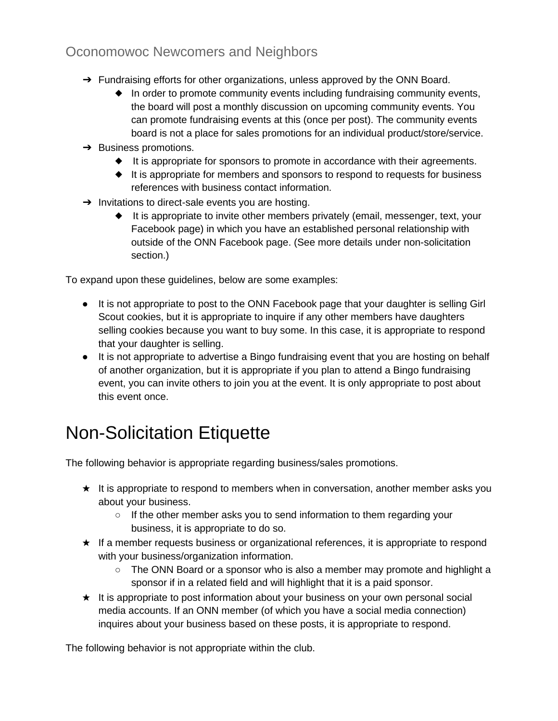#### Oconomowoc Newcomers and Neighbors

- → Fundraising efforts for other organizations, unless approved by the ONN Board.
	- In order to promote community events including fundraising community events, the board will post a monthly discussion on upcoming community events. You can promote fundraising events at this (once per post). The community events board is not a place for sales promotions for an individual product/store/service.
- $\rightarrow$  Business promotions.
	- ◆ It is appropriate for sponsors to promote in accordance with their agreements.
	- ◆ It is appropriate for members and sponsors to respond to requests for business references with business contact information.
- → Invitations to direct-sale events you are hosting.
	- ◆ It is appropriate to invite other members privately (email, messenger, text, your Facebook page) in which you have an established personal relationship with outside of the ONN Facebook page. (See more details under non-solicitation section.)

To expand upon these guidelines, below are some examples:

- It is not appropriate to post to the ONN Facebook page that your daughter is selling Girl Scout cookies, but it is appropriate to inquire if any other members have daughters selling cookies because you want to buy some. In this case, it is appropriate to respond that your daughter is selling.
- It is not appropriate to advertise a Bingo fundraising event that you are hosting on behalf of another organization, but it is appropriate if you plan to attend a Bingo fundraising event, you can invite others to join you at the event. It is only appropriate to post about this event once.

## Non-Solicitation Etiquette

The following behavior is appropriate regarding business/sales promotions.

- ★ It is appropriate to respond to members when in conversation, another member asks you about your business.
	- If the other member asks you to send information to them regarding your business, it is appropriate to do so.
- ★ If a member requests business or organizational references, it is appropriate to respond with your business/organization information.
	- The ONN Board or a sponsor who is also a member may promote and highlight a sponsor if in a related field and will highlight that it is a paid sponsor.
- ★ It is appropriate to post information about your business on your own personal social media accounts. If an ONN member (of which you have a social media connection) inquires about your business based on these posts, it is appropriate to respond.

The following behavior is not appropriate within the club.